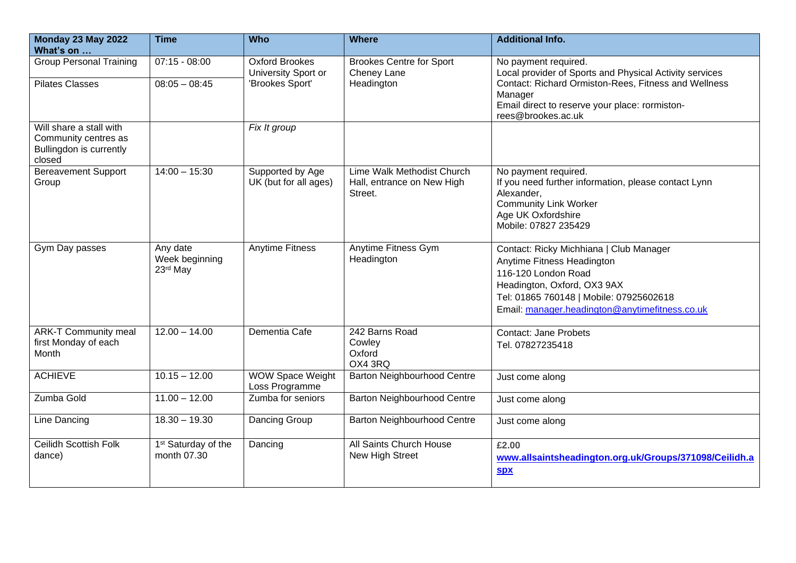| Monday 23 May 2022<br>What's on                                                      | <b>Time</b>                                    | <b>Who</b>                                   | <b>Where</b>                                                        | <b>Additional Info.</b>                                                                                                                                                                                                  |
|--------------------------------------------------------------------------------------|------------------------------------------------|----------------------------------------------|---------------------------------------------------------------------|--------------------------------------------------------------------------------------------------------------------------------------------------------------------------------------------------------------------------|
| <b>Group Personal Training</b>                                                       | $07:15 - 08:00$                                | <b>Oxford Brookes</b><br>University Sport or | <b>Brookes Centre for Sport</b><br>Cheney Lane                      | No payment required.<br>Local provider of Sports and Physical Activity services                                                                                                                                          |
| <b>Pilates Classes</b>                                                               | $08:05 - 08:45$                                | 'Brookes Sport'                              | Headington                                                          | Contact: Richard Ormiston-Rees, Fitness and Wellness<br>Manager<br>Email direct to reserve your place: rormiston-                                                                                                        |
|                                                                                      |                                                |                                              |                                                                     | rees@brookes.ac.uk                                                                                                                                                                                                       |
| Will share a stall with<br>Community centres as<br>Bullingdon is currently<br>closed |                                                | Fix It group                                 |                                                                     |                                                                                                                                                                                                                          |
| <b>Bereavement Support</b><br>Group                                                  | $14:00 - 15:30$                                | Supported by Age<br>UK (but for all ages)    | Lime Walk Methodist Church<br>Hall, entrance on New High<br>Street. | No payment required.<br>If you need further information, please contact Lynn<br>Alexander,<br><b>Community Link Worker</b><br>Age UK Oxfordshire<br>Mobile: 07827 235429                                                 |
| Gym Day passes                                                                       | Any date<br>Week beginning<br>23rd May         | <b>Anytime Fitness</b>                       | <b>Anytime Fitness Gym</b><br>Headington                            | Contact: Ricky Michhiana   Club Manager<br>Anytime Fitness Headington<br>116-120 London Road<br>Headington, Oxford, OX3 9AX<br>Tel: 01865 760148   Mobile: 07925602618<br>Email: manager.headington@anytimefitness.co.uk |
| <b>ARK-T Community meal</b><br>first Monday of each<br>Month                         | $12.00 - 14.00$                                | Dementia Cafe                                | 242 Barns Road<br>Cowley<br>Oxford<br>OX4 3RQ                       | <b>Contact: Jane Probets</b><br>Tel. 07827235418                                                                                                                                                                         |
| <b>ACHIEVE</b>                                                                       | $10.15 - 12.00$                                | <b>WOW Space Weight</b><br>Loss Programme    | <b>Barton Neighbourhood Centre</b>                                  | Just come along                                                                                                                                                                                                          |
| Zumba Gold                                                                           | $11.00 - 12.00$                                | Zumba for seniors                            | <b>Barton Neighbourhood Centre</b>                                  | Just come along                                                                                                                                                                                                          |
| Line Dancing                                                                         | $18.30 - 19.30$                                | Dancing Group                                | Barton Neighbourhood Centre                                         | Just come along                                                                                                                                                                                                          |
| <b>Ceilidh Scottish Folk</b><br>dance)                                               | 1 <sup>st</sup> Saturday of the<br>month 07.30 | Dancing                                      | All Saints Church House<br>New High Street                          | £2.00<br>www.allsaintsheadington.org.uk/Groups/371098/Ceilidh.a                                                                                                                                                          |
|                                                                                      |                                                |                                              |                                                                     | <b>Spx</b>                                                                                                                                                                                                               |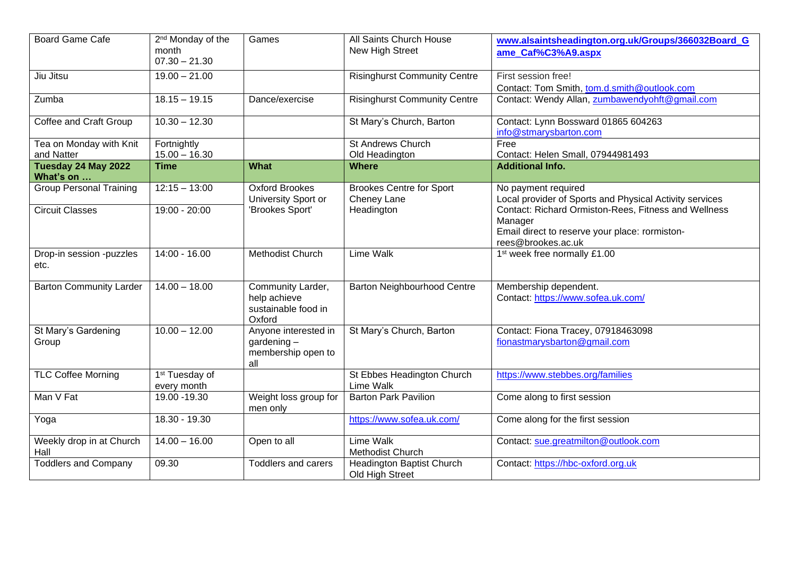| <b>Board Game Cafe</b>                | 2 <sup>nd</sup> Monday of the<br>month<br>$07.30 - 21.30$ | Games                                                              | All Saints Church House<br>New High Street     | www.alsaintsheadington.org.uk/Groups/366032Board_G<br>ame Caf%C3%A9.aspx                                                                |
|---------------------------------------|-----------------------------------------------------------|--------------------------------------------------------------------|------------------------------------------------|-----------------------------------------------------------------------------------------------------------------------------------------|
| Jiu Jitsu                             | $19.00 - 21.00$                                           |                                                                    | <b>Risinghurst Community Centre</b>            | First session free!<br>Contact: Tom Smith, tom.d.smith@outlook.com                                                                      |
| Zumba                                 | $18.15 - 19.15$                                           | Dance/exercise                                                     | <b>Risinghurst Community Centre</b>            | Contact: Wendy Allan, zumbawendyohft@gmail.com                                                                                          |
| Coffee and Craft Group                | $10.30 - 12.30$                                           |                                                                    | St Mary's Church, Barton                       | Contact: Lynn Bossward 01865 604263<br>info@stmarysbarton.com                                                                           |
| Tea on Monday with Knit<br>and Natter | Fortnightly<br>$15.00 - 16.30$                            |                                                                    | <b>St Andrews Church</b><br>Old Headington     | Free<br>Contact: Helen Small, 07944981493                                                                                               |
| Tuesday 24 May 2022<br>What's on      | <b>Time</b>                                               | <b>What</b>                                                        | <b>Where</b>                                   | <b>Additional Info.</b>                                                                                                                 |
| <b>Group Personal Training</b>        | $12:15 - 13:00$                                           | <b>Oxford Brookes</b><br>University Sport or                       | <b>Brookes Centre for Sport</b><br>Cheney Lane | No payment required<br>Local provider of Sports and Physical Activity services                                                          |
| <b>Circuit Classes</b>                | $19:00 - 20:00$                                           | 'Brookes Sport'                                                    | Headington                                     | Contact: Richard Ormiston-Rees, Fitness and Wellness<br>Manager<br>Email direct to reserve your place: rormiston-<br>rees@brookes.ac.uk |
| Drop-in session -puzzles<br>etc.      | $14:00 - 16.00$                                           | <b>Methodist Church</b>                                            | <b>Lime Walk</b>                               | 1 <sup>st</sup> week free normally £1.00                                                                                                |
| <b>Barton Community Larder</b>        | $14.00 - 18.00$                                           | Community Larder,<br>help achieve<br>sustainable food in<br>Oxford | <b>Barton Neighbourhood Centre</b>             | Membership dependent.<br>Contact: https://www.sofea.uk.com/                                                                             |
| St Mary's Gardening<br>Group          | $10.00 - 12.00$                                           | Anyone interested in<br>gardening $-$<br>membership open to<br>all | St Mary's Church, Barton                       | Contact: Fiona Tracey, 07918463098<br>fionastmarysbarton@gmail.com                                                                      |
| <b>TLC Coffee Morning</b>             | 1 <sup>st</sup> Tuesday of<br>every month                 |                                                                    | St Ebbes Headington Church<br>Lime Walk        | https://www.stebbes.org/families                                                                                                        |
| Man V Fat                             | 19.00 - 19.30                                             | Weight loss group for<br>men only                                  | <b>Barton Park Pavilion</b>                    | Come along to first session                                                                                                             |
| Yoga                                  | 18.30 - 19.30                                             |                                                                    | https://www.sofea.uk.com/                      | Come along for the first session                                                                                                        |
| Weekly drop in at Church<br>Hall      | $14.00 - 16.00$                                           | Open to all                                                        | Lime Walk<br>Methodist Church                  | Contact: sue.greatmilton@outlook.com                                                                                                    |
| <b>Toddlers and Company</b>           | 09.30                                                     | <b>Toddlers and carers</b>                                         | Headington Baptist Church<br>Old High Street   | Contact: https://hbc-oxford.org.uk                                                                                                      |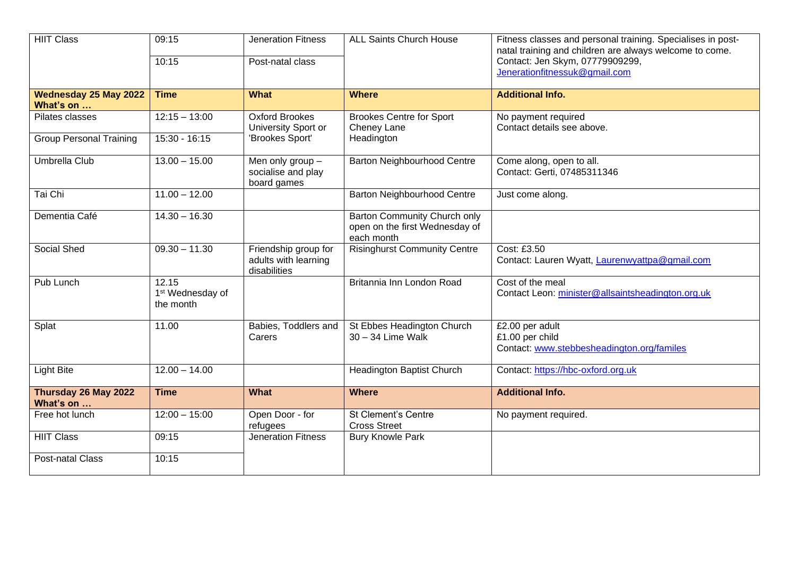| <b>HIIT Class</b>                         | 09:15<br>10:15                                     | <b>Jeneration Fitness</b><br>Post-natal class                | <b>ALL Saints Church House</b>                                                      | Fitness classes and personal training. Specialises in post-<br>natal training and children are always welcome to come.<br>Contact: Jen Skym, 07779909299,<br>Jenerationfitnessuk@gmail.com |
|-------------------------------------------|----------------------------------------------------|--------------------------------------------------------------|-------------------------------------------------------------------------------------|--------------------------------------------------------------------------------------------------------------------------------------------------------------------------------------------|
| <b>Wednesday 25 May 2022</b><br>What's on | <b>Time</b>                                        | <b>What</b>                                                  | <b>Where</b>                                                                        | <b>Additional Info.</b>                                                                                                                                                                    |
| Pilates classes                           | $12:15 - 13:00$                                    | <b>Oxford Brookes</b><br>University Sport or                 | <b>Brookes Centre for Sport</b><br>Cheney Lane                                      | No payment required<br>Contact details see above.                                                                                                                                          |
| <b>Group Personal Training</b>            | 15:30 - 16:15                                      | 'Brookes Sport'                                              | Headington                                                                          |                                                                                                                                                                                            |
| Umbrella Club                             | $13.00 - 15.00$                                    | Men only group -<br>socialise and play<br>board games        | <b>Barton Neighbourhood Centre</b>                                                  | Come along, open to all.<br>Contact: Gerti, 07485311346                                                                                                                                    |
| Tai Chi                                   | $11.00 - 12.00$                                    |                                                              | Barton Neighbourhood Centre                                                         | Just come along.                                                                                                                                                                           |
| Dementia Café                             | $14.30 - 16.30$                                    |                                                              | <b>Barton Community Church only</b><br>open on the first Wednesday of<br>each month |                                                                                                                                                                                            |
| Social Shed                               | $09.30 - 11.30$                                    | Friendship group for<br>adults with learning<br>disabilities | <b>Risinghurst Community Centre</b>                                                 | Cost: £3.50<br>Contact: Lauren Wyatt, Laurenwyattpa@gmail.com                                                                                                                              |
| Pub Lunch                                 | 12.15<br>1 <sup>st</sup> Wednesday of<br>the month |                                                              | Britannia Inn London Road                                                           | Cost of the meal<br>Contact Leon: minister@allsaintsheadington.org.uk                                                                                                                      |
| Splat                                     | 11.00                                              | Babies, Toddlers and<br>Carers                               | St Ebbes Headington Church<br>30 - 34 Lime Walk                                     | £2.00 per adult<br>£1.00 per child<br>Contact: www.stebbesheadington.org/familes                                                                                                           |
| <b>Light Bite</b>                         | $12.00 - 14.00$                                    |                                                              | <b>Headington Baptist Church</b>                                                    | Contact: https://hbc-oxford.org.uk                                                                                                                                                         |
| Thursday 26 May 2022<br>What's on         | <b>Time</b>                                        | <b>What</b>                                                  | <b>Where</b>                                                                        | <b>Additional Info.</b>                                                                                                                                                                    |
| Free hot lunch                            | $12:00 - 15:00$                                    | Open Door - for<br>refugees                                  | <b>St Clement's Centre</b><br><b>Cross Street</b>                                   | No payment required.                                                                                                                                                                       |
| <b>HIIT Class</b>                         | 09:15                                              | <b>Jeneration Fitness</b>                                    | <b>Bury Knowle Park</b>                                                             |                                                                                                                                                                                            |
| Post-natal Class                          | 10:15                                              |                                                              |                                                                                     |                                                                                                                                                                                            |